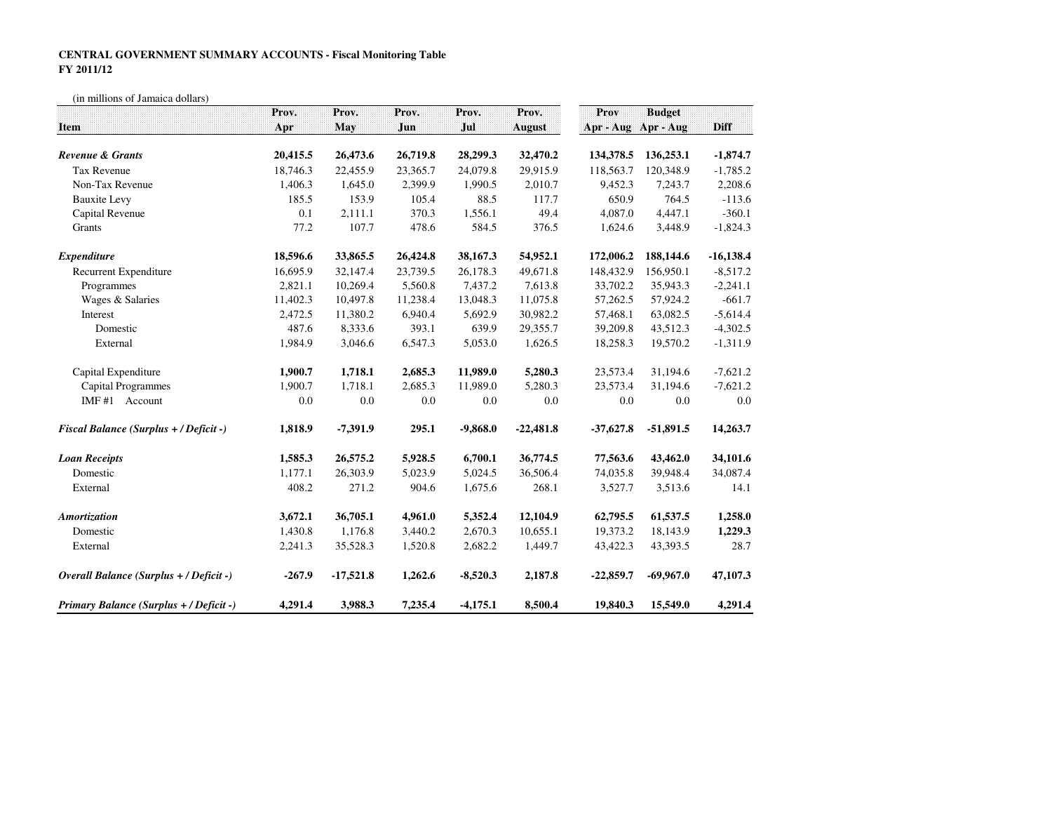## **CENTRAL GOVERNMENT SUMMARY ACCOUNTS - Fiscal Monitoring TableFY 2011/12**

(in millions of Jamaica dollars)

|                                               | Prov.    | Prov.       | Prov.    | Prov.      | Prov.         | Prov        | <b>Budget</b> |             |
|-----------------------------------------------|----------|-------------|----------|------------|---------------|-------------|---------------|-------------|
| Item                                          | Apr      | May         | Jun      | Jul        | <b>August</b> | Apr - Aug   | Apr - Aug     | Diff        |
| Revenue & Grants                              | 20,415.5 | 26,473.6    | 26,719.8 | 28,299.3   | 32,470.2      | 134,378.5   | 136,253.1     | $-1,874.7$  |
| <b>Tax Revenue</b>                            | 18,746.3 | 22,455.9    | 23,365.7 | 24,079.8   | 29,915.9      | 118,563.7   | 120,348.9     | $-1,785.2$  |
| Non-Tax Revenue                               | 1,406.3  | 1,645.0     | 2,399.9  | 1,990.5    | 2,010.7       | 9,452.3     | 7,243.7       | 2,208.6     |
| <b>Bauxite Levy</b>                           | 185.5    | 153.9       | 105.4    | 88.5       | 117.7         | 650.9       | 764.5         | $-113.6$    |
| Capital Revenue                               | 0.1      | 2,111.1     | 370.3    | 1,556.1    | 49.4          | 4,087.0     | 4,447.1       | $-360.1$    |
| Grants                                        | 77.2     | 107.7       | 478.6    | 584.5      | 376.5         | 1,624.6     | 3,448.9       | $-1,824.3$  |
| <b>Expenditure</b>                            | 18,596.6 | 33,865.5    | 26,424.8 | 38,167.3   | 54,952.1      | 172,006.2   | 188,144.6     | $-16,138.4$ |
| <b>Recurrent Expenditure</b>                  | 16,695.9 | 32,147.4    | 23,739.5 | 26,178.3   | 49,671.8      | 148,432.9   | 156,950.1     | $-8,517.2$  |
| Programmes                                    | 2,821.1  | 10,269.4    | 5,560.8  | 7,437.2    | 7,613.8       | 33,702.2    | 35,943.3      | $-2,241.1$  |
| Wages & Salaries                              | 11,402.3 | 10,497.8    | 11,238.4 | 13,048.3   | 11,075.8      | 57,262.5    | 57,924.2      | $-661.7$    |
| Interest                                      | 2,472.5  | 11,380.2    | 6,940.4  | 5,692.9    | 30,982.2      | 57,468.1    | 63,082.5      | $-5,614.4$  |
| Domestic                                      | 487.6    | 8,333.6     | 393.1    | 639.9      | 29,355.7      | 39,209.8    | 43,512.3      | $-4,302.5$  |
| External                                      | 1,984.9  | 3,046.6     | 6,547.3  | 5,053.0    | 1,626.5       | 18,258.3    | 19,570.2      | $-1,311.9$  |
| Capital Expenditure                           | 1,900.7  | 1,718.1     | 2,685.3  | 11,989.0   | 5,280.3       | 23,573.4    | 31,194.6      | $-7,621.2$  |
| <b>Capital Programmes</b>                     | 1,900.7  | 1,718.1     | 2,685.3  | 11,989.0   | 5,280.3       | 23,573.4    | 31,194.6      | $-7,621.2$  |
| IMF#1 Account                                 | 0.0      | $0.0\,$     | 0.0      | 0.0        | $0.0\,$       | 0.0         | 0.0           | 0.0         |
| <b>Fiscal Balance (Surplus + / Deficit -)</b> | 1,818.9  | $-7,391.9$  | 295.1    | $-9,868.0$ | $-22,481.8$   | $-37,627.8$ | $-51,891.5$   | 14,263.7    |
| <b>Loan Receipts</b>                          | 1,585.3  | 26,575.2    | 5,928.5  | 6,700.1    | 36,774.5      | 77,563.6    | 43,462.0      | 34,101.6    |
| Domestic                                      | 1,177.1  | 26,303.9    | 5,023.9  | 5,024.5    | 36,506.4      | 74,035.8    | 39,948.4      | 34,087.4    |
| External                                      | 408.2    | 271.2       | 904.6    | 1,675.6    | 268.1         | 3,527.7     | 3,513.6       | 14.1        |
| Amortization                                  | 3,672.1  | 36,705.1    | 4,961.0  | 5,352.4    | 12,104.9      | 62,795.5    | 61,537.5      | 1,258.0     |
| Domestic                                      | 1,430.8  | 1,176.8     | 3,440.2  | 2,670.3    | 10,655.1      | 19,373.2    | 18,143.9      | 1,229.3     |
| External                                      | 2,241.3  | 35,528.3    | 1,520.8  | 2,682.2    | 1,449.7       | 43,422.3    | 43,393.5      | 28.7        |
| Overall Balance (Surplus + / Deficit -)       | $-267.9$ | $-17,521.8$ | 1,262.6  | $-8,520.3$ | 2,187.8       | $-22,859.7$ | $-69,967.0$   | 47,107.3    |
| Primary Balance (Surplus + / Deficit -)       | 4,291.4  | 3,988.3     | 7,235.4  | $-4,175.1$ | 8,500.4       | 19,840.3    | 15,549.0      | 4,291.4     |